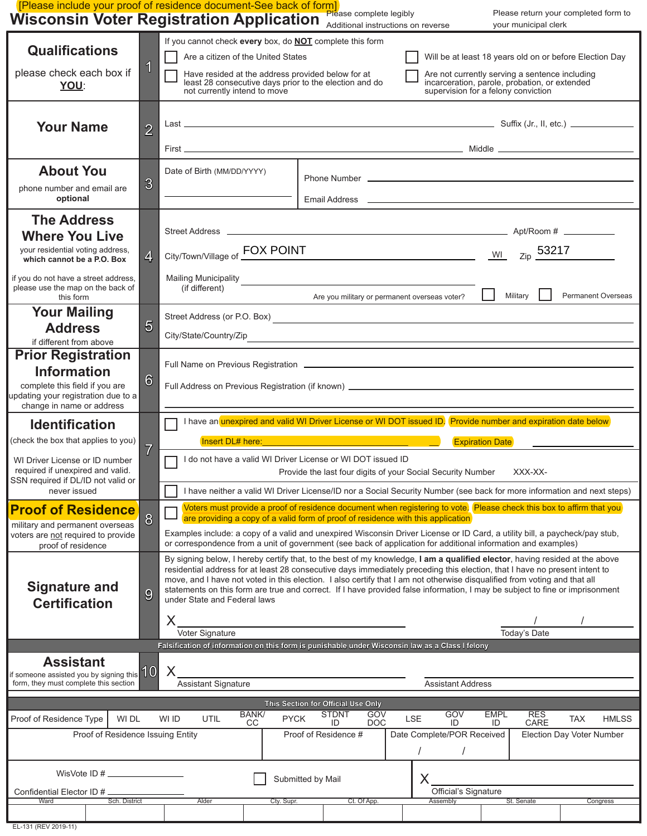| <b>Wisconsin Voter Registration Application</b>                                                                                                       |                 | Please return your completed form to<br>Please complete legibly<br>Additional instructions on reverse<br>your municipal clerk                                                                                                                                                                                                                                                                                                                                                                                                                                                                  |
|-------------------------------------------------------------------------------------------------------------------------------------------------------|-----------------|------------------------------------------------------------------------------------------------------------------------------------------------------------------------------------------------------------------------------------------------------------------------------------------------------------------------------------------------------------------------------------------------------------------------------------------------------------------------------------------------------------------------------------------------------------------------------------------------|
| <b>Qualifications</b><br>please check each box if<br>YOU:                                                                                             | 1               | If you cannot check every box, do <b>NOT</b> complete this form<br>Are a citizen of the United States<br>Will be at least 18 years old on or before Election Day<br>Have resided at the address provided below for at<br>Are not currently serving a sentence including<br>least 28 consecutive days prior to the election and do<br>incarceration, parole, probation, or extended<br>not currently intend to move<br>supervision for a felony conviction                                                                                                                                      |
| <b>Your Name</b>                                                                                                                                      | $\overline{2}$  |                                                                                                                                                                                                                                                                                                                                                                                                                                                                                                                                                                                                |
| <b>About You</b><br>phone number and email are<br>optional                                                                                            | $\overline{3}$  | Date of Birth (MM/DD/YYYY)<br>Phone Number <b>Department of the Contract of the Contract of the Contract of the Contract of the Contract of the Contract of the Contract of the Contract of the Contract of the Contract of the Contract of the Contract of th</b>                                                                                                                                                                                                                                                                                                                             |
| <b>The Address</b><br><b>Where You Live</b><br>your residential voting address,<br>which cannot be a P.O. Box<br>if you do not have a street address, | $\overline{4}$  | City/Town/Village of FOX POINT Notice that the State of Town City/Town/Village of Tox POINT<br>Mailing Municipality<br><u>Alexander Advisory</u><br>Mailing Municipality                                                                                                                                                                                                                                                                                                                                                                                                                       |
| please use the map on the back of<br>this form<br><b>Your Mailing</b><br><b>Address</b><br>if different from above                                    | 5               | (if different)<br>Military<br><b>Permanent Overseas</b><br>Are you military or permanent overseas voter?<br>Street Address (or P.O. Box) <u>example and contract and contract and contract and contract and contract and contract of the street and contract and contract and contract and contract and contract and contract and contract a</u><br>City/State/Country/Zip_example.com/state/country/Zip_example.com/state/country/Zip_example.com/state/country/Zip                                                                                                                           |
| <b>Prior Registration</b><br><b>Information</b><br>complete this field if you are<br>updating your registration due to a<br>change in name or address | $6\phantom{1}6$ |                                                                                                                                                                                                                                                                                                                                                                                                                                                                                                                                                                                                |
| <b>Identification</b><br>(check the box that applies to you)                                                                                          |                 | I have an unexpired and valid WI Driver License or WI DOT issued ID. Provide number and expiration date below                                                                                                                                                                                                                                                                                                                                                                                                                                                                                  |
| WI Driver License or ID number<br>required if unexpired and valid.<br>SSN required if DL/ID not valid or<br>never issued                              | $\overline{7}$  | <b>Expiration Date</b><br>I do not have a valid WI Driver License or WI DOT issued ID<br>Provide the last four digits of your Social Security Number<br>XXX-XX-<br>I have neither a valid WI Driver License/ID nor a Social Security Number (see back for more information and next steps)                                                                                                                                                                                                                                                                                                     |
| <b>Proof of Residence</b><br>military and permanent overseas                                                                                          | 8               | Voters must provide a proof of residence document when registering to vote. Please check this box to affirm that you                                                                                                                                                                                                                                                                                                                                                                                                                                                                           |
| voters are not required to provide<br>proof of residence                                                                                              |                 | are providing a copy of a valid form of proof of residence with this application<br>Examples include: a copy of a valid and unexpired Wisconsin Driver License or ID Card, a utility bill, a paycheck/pay stub,<br>or correspondence from a unit of government (see back of application for additional information and examples)                                                                                                                                                                                                                                                               |
| <b>Signature and</b><br><b>Certification</b>                                                                                                          | 9               | By signing below, I hereby certify that, to the best of my knowledge, I am a qualified elector, having resided at the above<br>residential address for at least 28 consecutive days immediately preceding this election, that I have no present intent to<br>move, and I have not voted in this election. I also certify that I am not otherwise disqualified from voting and that all<br>statements on this form are true and correct. If I have provided false information, I may be subject to fine or imprisonment<br>under State and Federal laws<br>X<br>Voter Signature<br>Today's Date |
| <b>Assistant</b><br>$\frac{1}{10}$ someone assisted you by signing this $10$<br>form, they must complete this section                                 |                 | Falsification of information on this form is punishable under Wisconsin law as a Class I felony<br>X<br><b>Assistant Signature</b><br><b>Assistant Address</b>                                                                                                                                                                                                                                                                                                                                                                                                                                 |
| Proof of Residence Type<br>WI DL<br>Proof of Residence Issuing Entity                                                                                 |                 | This Section for Official Use Only<br><b>STDNT</b><br><b>BANK/</b><br>GOV<br>GOV<br><b>EMPL</b><br><b>RES</b><br><b>PYCK</b><br><b>LSE</b><br>WI ID<br>UTIL<br><b>TAX</b><br><b>HMLSS</b><br>ID<br><b>DOC</b><br>ID<br>CARE<br>CС<br>ID<br>Proof of Residence #<br>Date Complete/POR Received<br>Election Day Voter Number                                                                                                                                                                                                                                                                     |

EL-131 (REV 2019-11)